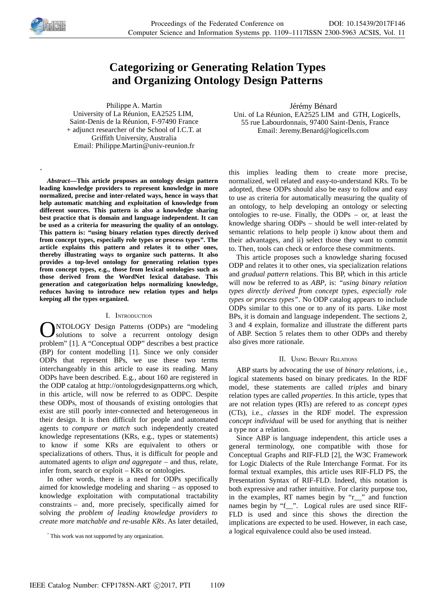

린

# **Categorizing or Generating Relation Types and Organizing Ontology Design Patterns**

Philippe A. Martin University of La Réunion, EA2525 LIM, Saint-Denis de la Réunion, F-97490 France + adjunct researcher of the School of I.C.T. at Griffith University, Australia Email: Philippe.Martin@univ-reunion.fr

*Abstract—***This article proposes an ontology design pattern leading knowledge providers to represent knowledge in more normalized, precise and inter-related ways, hence in ways that help automatic matching and exploitation of knowledge from different sources. This pattern is also a knowledge sharing best practice that is domain and language independent. It can be used as a criteria for measuring the quality of an ontology. This pattern is: "using binary relation types directly derived from concept types, especially role types or process types". The article explains this pattern and relates it to other ones, thereby illustrating ways to organize such patterns. It also provides a top-level ontology for generating relation types from concept types, e.g., those from lexical ontologies such as those derived from the WordNet lexical database. This generation and categorization helps normalizing knowledge, reduces having to introduce new relation types and helps keeping all the types organized.**

## I. INTRODUCTION

NTOLOGY Design Patterns (ODPs) are "modeling solutions to solve a recurrent ontology design **CONTOLOGY Design Patterns (ODPs) are "modeling solutions to solve a recurrent ontology design problem"** [1]. A "Conceptual ODP" describes a best practice (BP) for content modelling [1]. Since we only consider ODPs that represent BPs, we use these two terms interchangeably in this article to ease its reading. Many ODPs have been described. E.g., about 160 are registered in the ODP catalog at http://ontologydesignpatterns.org which, in this article, will now be referred to as ODPC. Despite these ODPs, most of thousands of existing ontologies that exist are still poorly inter-connected and heterogeneous in their design. It is then difficult for people and automated agents to *compare or match* such independently created knowledge representations (KRs, e.g., types or statements) to know if some KRs are equivalent to others or specializations of others. Thus, it is difficult for people and automated agents to *align and aggregate* – and thus, relate, infer from, search or exploit – KRs or ontologies.

In other words, there is a need for ODPs specifically aimed for knowledge modeling and sharing – as opposed to knowledge exploitation with computational tractability constraints – and, more precisely, specifically aimed for solving *the problem of leading knowledge providers to create more matchable and re-usable KRs*. As later detailed,

Jérémy Bénard

 Uni. of La Réunion, EA2525 LIM and GTH, Logicells, 55 rue Labourdonnais, 97400 Saint-Denis, France Email: Jeremy.Benard@logicells.com

this implies leading them to create more precise, normalized, well related and easy-to-understand KRs. To be adopted, these ODPs should also be easy to follow and easy to use as criteria for automatically measuring the quality of an ontology, to help developing an ontology or selecting ontologies to re-use. Finally, the ODPs – or, at least the knowledge sharing ODPs – should be well inter-related by semantic relations to help people i) know about them and their advantages, and ii) select those they want to commit to. Then, tools can check or enforce these commitments.

This article proposes such a knowledge sharing focused ODP and relates it to other ones, via specialization relations and *gradual pattern* relations. This BP, which in this article will now be referred to as *ABP*, is: *"using binary relation types directly derived from concept types, especially role types or process types"*. No ODP catalog appears to include ODPs similar to this one or to any of its parts. Like most BPs, it is domain and language independent. The sections 2, 3 and 4 explain, formalize and illustrate the different parts of ABP. Section 5 relates them to other ODPs and thereby also gives more rationale.

### II. USING BINARY RELATIONS

ABP starts by advocating the use of *binary relations*, i.e., logical statements based on binary predicates. In the RDF model, these statements are called *triples* and binary relation types are called *properties*. In this article, types that are not relation types (RTs) are refered to as *concept types* (CTs), i.e., *classes* in the RDF model. The expression *concept individual* will be used for anything that is neither a type nor a relation.

Since ABP is language independent, this article uses a general terminology, one compatible with those for Conceptual Graphs and RIF-FLD [2], the W3C Framework for Logic Dialects of the Rule Interchange Format. For its formal textual examples, this article uses RIF-FLD PS, the Presentation Syntax of RIF-FLD. Indeed, this notation is both expressive and rather intuitive. For clarity purpose too, in the examples, RT names begin by "r\_\_" and function names begin by "f\_". Logical rules are used since RIF-FLD is used and since this shows the direction the implications are expected to be used. However, in each case, a logical equivalence could also be used instead.

This work was not supported by any organization.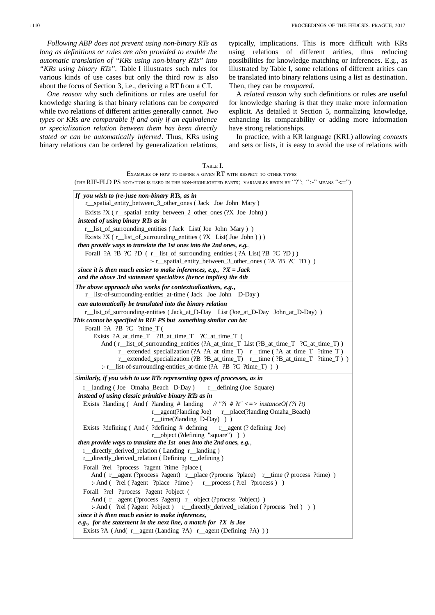*Following ABP does not prevent using non-binary RTs as long as definitions or rules are also provided to enable the automatic translation of "KRs using non-binary RTs" into "KRs using binary RTs".* Table I illustrates such rules for various kinds of use cases but only the third row is also about the focus of Section 3, i.e., deriving a RT from a CT.

*One reason* why such definitions or rules are useful for knowledge sharing is that binary relations can be *compared* while two relations of different arities generally cannot. *Two types or KRs are comparable if and only if an equivalence or specialization relation between them has been directly stated or can be automatically inferred*. Thus, KRs using binary relations can be ordered by generalization relations, typically, implications. This is more difficult with KRs using relations of different arities, thus reducing possibilities for knowledge matching or inferences. E.g., as illustrated by Table I, some relations of different arities can be translated into binary relations using a list as destination. Then, they can be *compared*.

A *related reason* why such definitions or rules are useful for knowledge sharing is that they make more information explicit. As detailed it Section 5, normalizing knowledge, enhancing its comparability or adding more information have strong relationships.

In practice, with a KR language (KRL) allowing *contexts* and sets or lists, it is easy to avoid the use of relations with

| (THE RIF-FLD PS NOTATION IS USED IN THE NON-HIGHLIGHTED PARTS; VARIABLES BEGIN BY "?"; ":-" MEANS "<=")                               |
|---------------------------------------------------------------------------------------------------------------------------------------|
| If you wish to (re-)use non-binary RTs, as in<br>r_spatial_entity_between_3_other_ones (Jack Joe John Mary)                           |
| Exists ?X (r_spatial_entity_between_2_other_ones (?X Joe John))                                                                       |
| instead of using binary RTs as in                                                                                                     |
| r_list_of_surrounding_entities (Jack List(Joe John Mary))                                                                             |
| Exists ?X (r_list_of_surrounding_entities (?X List(Joe John)))                                                                        |
| then provide ways to translate the 1st ones into the 2nd ones, e.g.,                                                                  |
| Forall ?A ?B ?C ?D (r_list_of_surrounding_entities (?A List(?B ?C ?D))                                                                |
| :- r__spatial_entity_between_3_other_ones ( ?A ?B ?C ?D ) )                                                                           |
| since it is then much easier to make inferences, e.g., $?X = Jack$<br>and the above 3rd statement specializes (hence implies) the 4th |
| The above approach also works for contextualizations, e.g.,                                                                           |
| r_list-of-surrounding-entities_at-time (Jack Joe John D-Day)                                                                          |
| can automatically be translated into the binary relation                                                                              |
| r_list_of_surrounding-entities (Jack_at_D-Day List (Joe_at_D-Day John_at_D-Day))                                                      |
| This cannot be specified in RIF PS but something similar can be:                                                                      |
| Forall ?A ?B ?C ?time_T (<br>Exists ?A_at_time_T ?B_at_time_T ?C_at_time_T (                                                          |
| And (r_list_of_surrounding_entities (?A_at_time_T List (?B_at_time_T ?C_at_time_T))                                                   |
| r_extended_specialization (?A ?A_at_time_T) r_time ( ?A_at_time_T ?time_T)                                                            |
| r_extended_specialization (?B ?B_at_time_T) r_time ( ?B_at_time_T ?time_T ) )                                                         |
| :- r_list-of-surrounding-entities_at-time (?A ?B ?C ?time_T)))                                                                        |
| Similarly, if you wish to use RTs representing types of processes, as in                                                              |
| r_landing (Joe Omaha_Beach D-Day)<br>r_defining (Joe Square)                                                                          |
| instead of using classic primitive binary RTs as in                                                                                   |
| Exists ?landing (And (?landing # landing<br>// "?i $\#$ ?t" <=> instanceOf (?i ?t)                                                    |
| r_agent(?landing Joe) r_place(?landing Omaha_Beach)                                                                                   |
| r_time(?landing D-Day) ) )<br>Exists ?defining (And (?defining # defining                                                             |
| r_agent (? defining Joe)<br>r_object (?defining "square") ) )                                                                         |
| then provide ways to translate the 1st ones into the 2nd ones, e.g.,                                                                  |
| r_directly_derived_relation (Landing r_landing)                                                                                       |
| r_directly_derived_relation (Defining r_defining)                                                                                     |
| Forall ?rel ?process ?agent ?time ?place (                                                                                            |
| And (r_agent (?process ?agent) r_place (?process ?place) r_time (?process ?time))                                                     |
| :- And (?rel (?agent ?place ?time) r_process (?rel ?process))                                                                         |
| Forall ?rel ?process ?agent ?object (                                                                                                 |
| And (r_agent (?process ?agent) r_object (?process ?object))                                                                           |
| :- And (?rel (?agent ?object) r_directly_derived_relation (?process ?rel)))<br>since it is then much easier to make inferences,       |
| e.g., for the statement in the next line, a match for $?X$ is Joe                                                                     |
| Exists ?A (And(r_agent (Landing ?A) r_agent (Defining ?A)))                                                                           |
|                                                                                                                                       |

TABLE I. EXAMPLES OF HOW TO DEFINE <sup>A</sup> GIVEN RT WITH RESPECT TO OTHER TYPES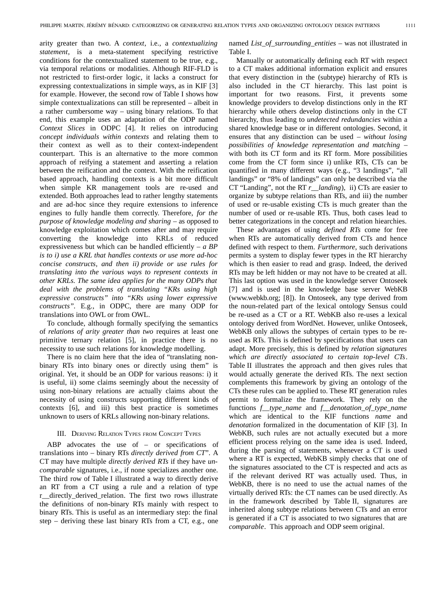arity greater than two. A *context*, i.e., a *contextualizing statement*, is a meta-statement specifying restrictive conditions for the contextualized statement to be true, e.g., via temporal relations or modalities. Although RIF-FLD is not restricted to first-order logic, it lacks a construct for expressing contextualizations in simple ways, as in KIF [3] for example. However, the second row of Table I shows how simple contextualizations can still be represented – albeit in a rather cumbersome way – using binary relations. To that end, this example uses an adaptation of the ODP named *Context Slices* in ODPC [4]. It relies on introducing *concept individuals within contexts* and relating them to their context as well as to their context-independent counterpart. This is an alternative to the more common approach of reifying a statement and asserting a relation between the reification and the context. With the reification based approach, handling contexts is a bit more difficult when simple KR management tools are re-used and extended. Both approaches lead to rather lengthy statements and are ad-hoc since they require extensions to inference engines to fully handle them correctly. Therefore, *for the purpose of knowledge modeling and sharing* – as opposed to knowledge exploitation which comes after and may require converting the knowledge into KRLs of reduced expressiveness but which can be handled efficiently – *a BP is to i) use a KRL that handles contexts or use more ad-hoc concise constructs, and then ii) provide or use rules for translating into the various ways to represent contexts in other KRLs. The same idea applies for the many ODPs that deal with the problems of translating "KRs using high expressive constructs" into "KRs using lower expressive constructs".* E.g., in ODPC, there are many ODP for translations into OWL or from OWL.

To conclude, although formally specifying the semantics of *relations of arity greater than two* requires at least one primitive ternary relation [5], in practice there is no necessity to use such relations for knowledge modelling.

There is no claim here that the idea of "translating nonbinary RTs into binary ones or directly using them" is original. Yet, it should be an ODP for various reasons: i) it is useful, ii) some claims seemingly about the necessity of using non-binary relations are actually claims about the necessity of using constructs supporting different kinds of contexts [6], and iii) this best practice is sometimes unknown to users of KRLs allowing non-binary relations.

#### III. DERIVING RELATION TYPES FROM CONCEPT TYPES

ABP advocates the use of – or specifications of translations into – binary RTs *directly derived from CT*". A CT may have multiple *directly derived RTs* if they have *uncomparable* signatures, i.e., if none specializes another one. The third row of Table I illustrated a way to directly derive an RT from a CT using a rule and a relation of type r\_\_directly\_derived\_relation. The first two rows illustrate the definitions of non-binary RTs mainly with respect to binary RTs. This is useful as an intermediary step: the final step – deriving these last binary RTs from a CT, e.g., one named *List\_of\_surrounding\_entities* – was not illustrated in Table I.

Manually or automatically defining each RT with respect to a CT makes additional information explicit and ensures that every distinction in the (subtype) hierarchy of RTs is also included in the CT hierarchy. This last point is important for two reasons. First, it prevents some knowledge providers to develop distinctions only in the RT hierarchy while others develop distinctions only in the CT hierarchy, thus leading to *undetected redundancies* within a shared knowledge base or in different ontologies. Second, it ensures that any distinction can be used – *without losing possibilities of knowledge representation and matching* – with both its CT form and its RT form. More possibilities come from the CT form since i) unlike RTs, CTs can be quantified in many different ways (e.g., "3 landings", "all landings" or "8% of landings" can only be described via the CT "Landing", not the RT *r\_\_landing*), ii) CTs are easier to organize by subtype relations than RTs, and iii) the number of used or re-usable existing CTs is much greater than the number of used or re-usable RTs. Thus, both cases lead to better categorizations in the concept and relation hiearchies.

These advantages of using *defined RTs* come for free when RTs are automatically derived from CTs and hence defined with respect to them. *Furthermore*, such derivations permits a system to display fewer types in the RT hierarchy which is then easier to read and grasp. Indeed, the derived RTs may be left hidden or may not have to be created at all. This last option was used in the knowledge server Ontoseek [7] and is used in the knowledge base server WebKB (www.webkb.org; [8]). In Ontoseek, any type derived from the noun-related part of the lexical ontology Sensus could be re-used as a CT or a RT. WebKB also re-uses a lexical ontology derived from WordNet. However, unlike Ontoseek, WebKB only allows the subtypes of certain types to be reused as RTs. This is defined by specifications that users can adapt. More precisely, this is defined by *relation signatures which are directly associated to certain top-level CTs*. Table II illustrates the approach and then gives rules that would actually generate the derived RTs. The next section complements this framework by giving an ontology of the CTs these rules can be applied to. These RT generation rules permit to formalize the framework. They rely on the functions *f\_\_type\_name* and *f\_\_denotation\_of\_type\_name* which are identical to the KIF functions *name* and *denotation* formalized in the documentation of KIF [3]. In WebKB, such rules are not actually executed but a more efficient process relying on the same idea is used. Indeed, during the parsing of statements, whenever a CT is used where a RT is expected, WebKB simply checks that one of the signatures associated to the CT is respected and acts as if the relevant derived RT was actually used. Thus, in WebKB, there is no need to use the actual names of the virtually derived RTs: the CT names can be used directly. As in the framework described by Table II, signatures are inherited along subtype relations between CTs and an error is generated if a CT is associated to two signatures that are *comparable*. This approach and ODP seem original.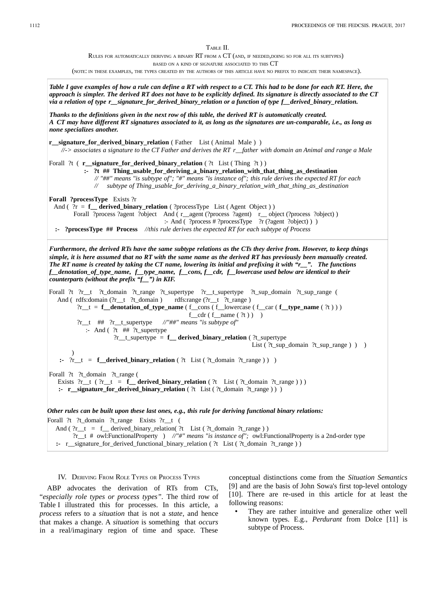TABLE II. RULES FOR AUTOMATICALLY DERIVING <sup>A</sup> BINARY RT FROM <sup>A</sup> CT (AND, IF NEEDED,DOING SO FOR ALL ITS SUBTYPES) BASED ON <sup>A</sup> KIND OF SIGNATURE ASSOCIATED TO THIS CT (NOTE: IN THESE EXAMPLES, THE TYPES CREATED BY THE AUTHORS OF THIS ARTICLE HAVE NO PREFIX TO INDICATE THEIR NAMESPACE). *Table I gave examples of how a rule can define a RT with respect to a CT. This had to be done for each RT. Here, the approach is simpler. The derived RT does not have to be explicitly defined. Its signature is directly associated to the CT via a relation of type r\_\_signature\_for\_derived\_binary\_relation or a function of type f\_\_derived\_binary\_relation. Thanks to the definitions given in the next row of this table, the derived RT is automatically created. A CT may have different RT signatures associated to it, as long as the signatures are un-comparable, i.e., as long as none specializes another.*  **r\_\_signature\_for\_derived\_binary\_relation** ( Father List ( Animal Male ) ) *//-> associates a signature to the CT Father and derives the RT r\_\_father with domain an Animal and range a Male*  Forall ?t ( **r\_signature\_for\_derived\_binary\_relation** (?t List (Thing ?t)) **:- ?t ## Thing\_usable\_for\_deriving\_a\_binary\_relation\_with\_that\_thing\_as\_destination** *// "##" means "is subtype of"; "#" means "is instance of"; this rule derives the expected RT for each // subtype of Thing\_usable\_for\_deriving\_a\_binary\_relation\_with\_that\_thing\_as\_destination* **Forall ?processType** Exists ?r And (  $?r = f$  derived binary\_relation ( ?processType List ( Agent Object ) ) Forall ?process ?agent ?object And ( r\_agent (?process ?agent) r\_ object (?process ?object) ) :- And (?process #?processType ?r (?agent ?object) ) ) **:- ?processType ## Process** *//this rule derives the expected RT for each subtype of Process Furthermore, the derived RTs have the same subtype relations as the CTs they derive from. However, to keep things simple, it is here assumed that no RT with the same name as the derived RT has previously been manually created. The RT name is created by taking the CT name, lowering its initial and prefixing it with "r\_\_". The functions f\_\_denotation\_of\_type\_name, f\_\_type\_name, f\_\_cons, f\_\_cdr, f\_\_lowercase used below are identical to their counterparts (without the prefix "f\_\_") in KIF.*  Forall ?t ?r\_t ?t\_domain ?t\_range ?t\_supertype ?r\_t\_supertype ?t\_sup\_domain ?t\_sup\_range ( And ( rdfs:domain (?r\_t ?t\_domain ) rdfs:range (?r\_t ?t\_range ) ?r\_\_t = **f\_\_denotation\_of\_type\_name** ( f\_\_cons ( f\_\_lowercase ( f\_\_car ( **f\_\_type\_name** ( ?t ) ) ) f  $_{cdr}$  ( f  $_{name}$  (?t ) ) ) ?r\_\_t ## ?r\_\_t\_supertype *//"##" means "is subtype of"* :- And ( ?t ## ?t\_supertype ?r\_\_t\_supertype = **f\_\_ derived\_binary\_relation** ( ?t\_supertype List ( ?t\_sup\_domain ?t\_sup\_range ) ) )  $\overline{\phantom{a}}$  **:-** ?r\_\_t = **f\_\_derived\_binary\_relation** ( ?t List ( ?t\_domain ?t\_range ) ) ) Forall ?t ?t\_domain ?t\_range ( Exists ?r\_t ( ?r\_t =  $f$ **derived\_binary\_relation** ( ?t List ( ?t\_domain ?t\_range ) ) ) **:- r\_\_signature\_for\_derived\_binary\_relation** ( ?t List ( ?t\_domain ?t\_range ) ) ) *Other rules can be built upon these last ones, e.g., this rule for deriving functional binary relations:* Forall ?t ?t\_domain ?t\_range Exists ?r\_t ( And ( ?r  $t = f$  derived binary relation( ?t List ( ?t\_domain ?t\_range ) ) ?r\_\_t # owl:FunctionalProperty ) *//"#" means "is instance of";* owl:FunctionalProperty is a 2nd-order type **:-** r\_\_signature\_for\_derived\_functional\_binary\_relation ( ?t List ( ?t\_domain ?t\_range ) )

#### IV. DERIVING FROM ROLE TYPES OR PROCESS TYPES

ABP advocates the derivation of RTs from CTs, "*especially role types or process types".* The third row of Table I illustrated this for processes. In this article, a *process* refers to a *situation* that is not a *state*, and hence that makes a change. A *situation* is something that *occurs* in a real/imaginary region of time and space. These

conceptual distinctions come from the *Situation Semantics* [9] and are the basis of John Sowa's first top-level ontology [10]. There are re-used in this article for at least the following reasons:

• They are rather intuitive and generalize other well known types. E.g., *Perdurant* from Dolce [11] is subtype of Process.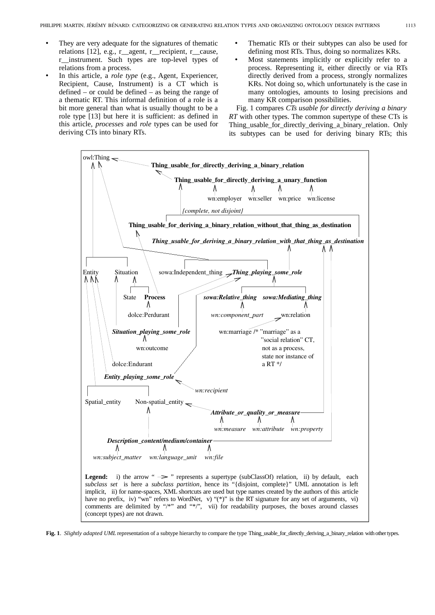- They are very adequate for the signatures of thematic relations [12], e.g., r\_\_agent, r\_\_recipient, r\_\_cause, r\_\_instrument. Such types are top-level types of relations from a process.
- In this article, a *role type* (e.g., Agent, Experiencer, Recipient, Cause, Instrument) is a CT which is defined  $-$  or could be defined  $-$  as being the range of a thematic RT. This informal definition of a role is a bit more general than what is usually thought to be a role type [13] but here it is sufficient: as defined in this article, *processes* and *role* types can be used for deriving CTs into binary RTs.
- Thematic RTs or their subtypes can also be used for defining most RTs. Thus, doing so normalizes KRs.
- Most statements implicitly or explicitly refer to a process. Representing it, either directly or via RTs directly derived from a process, strongly normalizes KRs. Not doing so, which unfortunately is the case in many ontologies, amounts to losing precisions and many KR comparison possibilities.

Fig. 1 compares *CTs usable for directly deriving a binary RT* with other types. The common supertype of these CTs is Thing usable for directly deriving a binary relation. Only its subtypes can be used for deriving binary RTs; this



**Fig. 1**. *Slightly adapted UML* representation of a subtype hierarchy to compare the type Thing\_usable\_for\_directly\_deriving\_a\_binary\_relation with other types.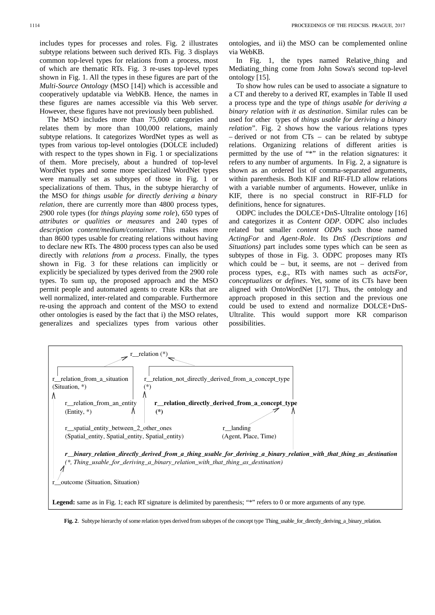However, these figures have not previously been published. The MSO includes more than 75,000 categories and relates them by more than 100,000 relations, mainly subtype relations. It categorizes WordNet types as well as types from various top-level ontologies (DOLCE included) with respect to the types shown in Fig. 1 or specializations of them. More precisely, about a hundred of top-level WordNet types and some more specialized WordNet types were manually set as subtypes of those in Fig. 1 or specializations of them. Thus, in the subtype hierarchy of the MSO for *things usable for directly deriving a binary relation*, there are currently more than 4800 process types, 2900 role types (for *things playing some role*), 650 types of *attributes or qualities or measures* and 240 types of *description content/medium/container*. This makes more than 8600 types usable for creating relations without having to declare new RTs. The 4800 process types can also be used directly with *relations from a process*. Finally, the types shown in Fig. 3 for these relations can implicitly or explicitly be specialized by types derived from the 2900 role types. To sum up, the proposed approach and the MSO permit people and automated agents to create KRs that are well normalized, inter-related and comparable. Furthermore re-using the approach and content of the MSO to extend other ontologies is eased by the fact that i) the MSO relates, generalizes and specializes types from various other

ontologies, and ii) the MSO can be complemented online via WebKB.

In Fig. 1, the types named Relative\_thing and Mediating\_thing come from John Sowa's second top-level ontology [15].

To show how rules can be used to associate a signature to a CT and thereby to a derived RT, examples in Table II used a process type and the type of *things usable for deriving a binary relation with it as destination*. Similar rules can be used for other types of *things usable for deriving a binary relation*". Fig. 2 shows how the various relations types  $-$  derived or not from  $CTs - can$  be related by subtype relations. Organizing relations of different arities is permitted by the use of "\*" in the relation signatures: it refers to any number of arguments. In Fig. 2, a signature is shown as an ordered list of comma-separated arguments, within parenthesis. Both KIF and RIF-FLD allow relations with a variable number of arguments. However, unlike in KIF, there is no special construct in RIF-FLD for definitions, hence for signatures.

ODPC includes the DOLCE+DnS-Ultralite ontology [16] and categorizes it as *Content ODP*. ODPC also includes related but smaller *content ODPs* such those named *ActingFor* and *Agent-Role*. Its *DnS (Descriptions and Situations)* part includes some types which can be seen as subtypes of those in Fig. 3. ODPC proposes many RTs which could be – but, it seems, are not – derived from process types, e.g., RTs with names such as *actsFor*, *conceptualizes* or *defines*. Yet, some of its CTs have been aligned with OntoWordNet [17]. Thus, the ontology and approach proposed in this section and the previous one could be used to extend and normalize DOLCE+DnS-Ultralite. This would support more KR comparison possibilities.



**Fig. 2**. Subtype hierarchy of some relation types derived from subtypes of the concept type Thing\_usable\_for\_directly\_deriving\_a\_binary\_relation.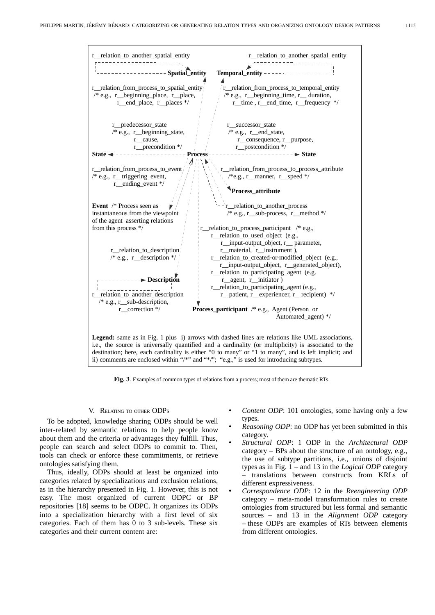

Fig. 3. Examples of common types of relations from a process; most of them are thematic RTs.

## V. RELATING TO OTHER ODP<sup>S</sup>

To be adopted, knowledge sharing ODPs should be well inter-related by semantic relations to help people know about them and the criteria or advantages they fulfill. Thus, people can search and select ODPs to commit to. Then, tools can check or enforce these commitments, or retrieve ontologies satisfying them.

Thus, ideally, ODPs should at least be organized into categories related by specializations and exclusion relations, as in the hierarchy presented in Fig. 1. However, this is not easy. The most organized of current ODPC or BP repositories [18] seems to be ODPC. It organizes its ODPs into a specialization hierarchy with a first level of six categories. Each of them has 0 to 3 sub-levels. These six categories and their current content are:

- *Content ODP*: 101 ontologies, some having only a few types.
- *Reasoning ODP*: no ODP has yet been submitted in this category.
- *Structural ODP*: 1 ODP in the *Architectural ODP* category – BPs about the structure of an ontology, e.g., the use of subtype partitions, i.e., unions of disjoint types as in Fig. 1 – and 13 in the *Logical ODP* category – translations between constructs from KRLs of different expressiveness.
- *Correspondence ODP*: 12 in the *Reengineering ODP* category – meta-model transformation rules to create ontologies from structured but less formal and semantic sources – and 13 in the *Alignment ODP* category – these ODPs are examples of RTs between elements from different ontologies.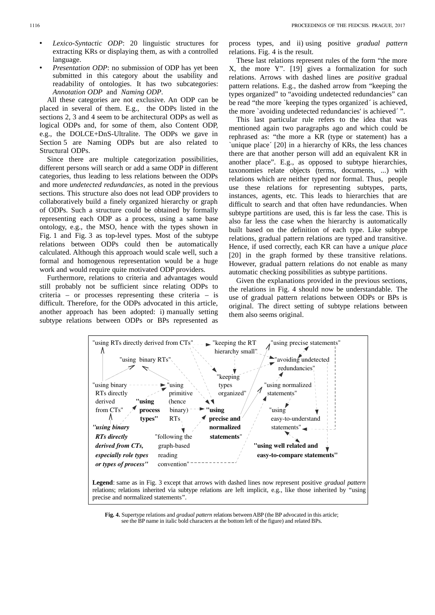• *Presentation ODP*: no submission of ODP has yet been submitted in this category about the usability and readability of ontologies. It has two subcategories: *Annotation ODP* and *Naming ODP*.

All these categories are not exclusive. An ODP can be placed in several of them. E.g., the ODPs listed in the sections 2, 3 and 4 seem to be architectural ODPs as well as logical ODPs and, for some of them, also Content ODP, e.g., the DOLCE+DnS-Ultralite. The ODPs we gave in Section 5 are Naming ODPs but are also related to Structural ODPs.

Since there are multiple categorization possibilities, different persons will search or add a same ODP in different categories, thus leading to less relations between the ODPs and more *undetected redundancies*, as noted in the previous sections. This structure also does not lead ODP providers to collaboratively build a finely organized hierarchy or graph of ODPs. Such a structure could be obtained by formally representing each ODP as a process, using a same base ontology, e.g., the MSO, hence with the types shown in Fig. 1 and Fig. 3 as top-level types. Most of the subtype relations between ODPs could then be automatically calculated. Although this approach would scale well, such a formal and homogenous representation would be a huge work and would require quite motivated ODP providers.

Furthermore, relations to criteria and advantages would still probably not be sufficient since relating ODPs to criteria – or processes representing these criteria – is difficult. Therefore, for the ODPs advocated in this article, another approach has been adopted: i) manually setting subtype relations between ODPs or BPs represented as

process types, and ii) using positive *gradual pattern* relations. Fig. 4 is the result.

These last relations represent rules of the form "the more X, the more Y". [19] gives a formalization for such relations. Arrows with dashed lines are *positive* gradual pattern relations. E.g., the dashed arrow from "keeping the types organized" to "avoiding undetected redundancies" can be read "the more `keeping the types organized´ is achieved, the more `avoiding undetected redundancies' is achieved´ ".

This last particular rule refers to the idea that was mentioned again two paragraphs ago and which could be rephrased as: "the more a KR (type or statement) has a `unique place´ [20] in a hierarchy of KRs, the less chances there are that another person will add an equivalent KR in another place". E.g., as opposed to subtype hierarchies, taxonomies relate objects (terms, documents, ...) with relations which are neither typed nor formal. Thus, people use these relations for representing subtypes, parts, instances, agents, etc. This leads to hierarchies that are difficult to search and that often have redundancies. When subtype partitions are used, this is far less the case. This is also far less the case when the hierarchy is automatically built based on the definition of each type. Like subtype relations, gradual pattern relations are typed and transitive. Hence, if used correctly, each KR can have a *unique place* [20] in the graph formed by these transitive relations. However, gradual pattern relations do not enable as many automatic checking possibilities as subtype partitions.

Given the explanations provided in the previous sections, the relations in Fig. 4 should now be understandable. The use of gradual pattern relations between ODPs or BPs is original. The direct setting of subtype relations between them also seems original.

redundancies"



"using RTs directly derived from  $CTs$ " $\longrightarrow$  "keeping the RT $\longrightarrow$ "using precise statements"

hierarchy small' "using binary RTs"  $\sqrt{\frac{1}{2}}$ " avoiding undetected

'keeping

**Fig. 4.** Supertype relations and *gradual pattern* relations between ABP (the BP advocated in this article;

see the BP name in italic bold characters at the bottom left of the figure) and related BPs.